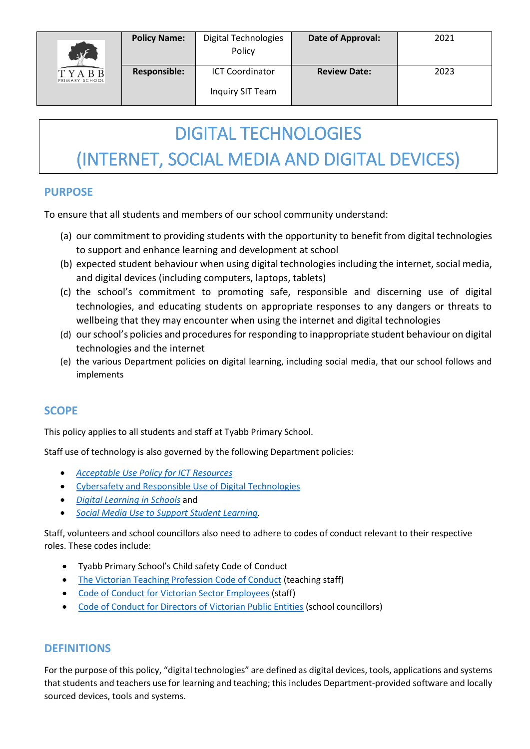

### DIGITAL TECHNOLOGIES

## (INTERNET, SOCIAL MEDIA AND DIGITAL DEVICES)

#### **PURPOSE**

To ensure that all students and members of our school community understand:

- (a) our commitment to providing students with the opportunity to benefit from digital technologies to support and enhance learning and development at school
- (b) expected student behaviour when using digital technologies including the internet, social media, and digital devices (including computers, laptops, tablets)
- (c) the school's commitment to promoting safe, responsible and discerning use of digital technologies, and educating students on appropriate responses to any dangers or threats to wellbeing that they may encounter when using the internet and digital technologies
- (d) our school's policies and procedures for responding to inappropriate student behaviour on digital technologies and the internet
- (e) the various Department policies on digital learning, including social media, that our school follows and implements

#### **SCOPE**

This policy applies to all students and staff at Tyabb Primary School.

Staff use of technology is also governed by the following Department policies:

- *[Acceptable Use Policy](https://www2.education.vic.gov.au/pal/ict-acceptable-use/overview) for ICT Resources*
- [Cybersafety and Responsible Use of Digital Technologies](https://www2.education.vic.gov.au/pal/cybersafety/policy)
- *[Digital Learning in Schools](https://www2.education.vic.gov.au/pal/digital-learning/policy)* and
- *[Social Media Use to Support Student Learning.](https://www2.education.vic.gov.au/pal/social-media/policy)*

Staff, volunteers and school councillors also need to adhere to codes of conduct relevant to their respective roles. These codes include:

- Tyabb Primary School's Child safety Code of Conduct
- [The Victorian Teaching Profession Code of Conduct](https://www.vit.vic.edu.au/__data/assets/pdf_file/0018/35604/Code-of-Conduct-2016.pdf) (teaching staff)
- [Code of Conduct for Victorian Sector Employees](https://www2.education.vic.gov.au/pal/code-conduct/overview) (staff)
- [Code of Conduct for Directors of Victorian Public Entities](https://www2.education.vic.gov.au/pal/school-council-conduct/policy) (school councillors)

#### **DEFINITIONS**

For the purpose of this policy, "digital technologies" are defined as digital devices, tools, applications and systems that students and teachers use for learning and teaching; this includes Department-provided software and locally sourced devices, tools and systems.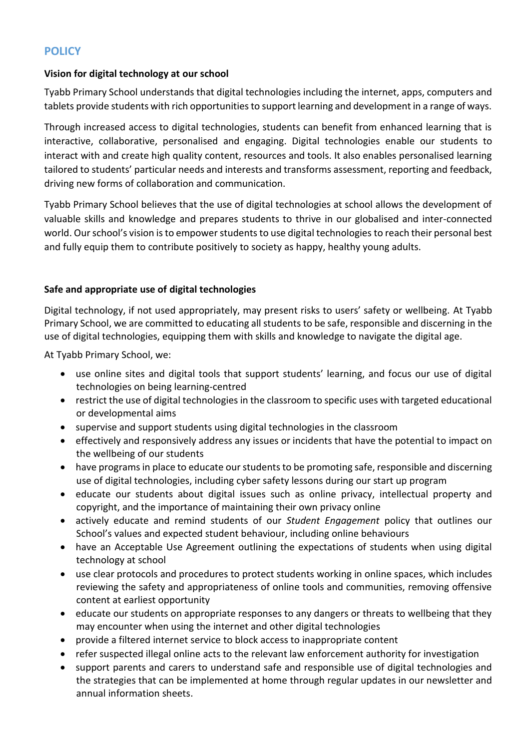#### **POLICY**

#### **Vision for digital technology at our school**

Tyabb Primary School understands that digital technologies including the internet, apps, computers and tablets provide students with rich opportunities to support learning and development in a range of ways.

Through increased access to digital technologies, students can benefit from enhanced learning that is interactive, collaborative, personalised and engaging. Digital technologies enable our students to interact with and create high quality content, resources and tools. It also enables personalised learning tailored to students' particular needs and interests and transforms assessment, reporting and feedback, driving new forms of collaboration and communication.

Tyabb Primary School believes that the use of digital technologies at school allows the development of valuable skills and knowledge and prepares students to thrive in our globalised and inter-connected world. Our school's vision is to empower students to use digital technologies to reach their personal best and fully equip them to contribute positively to society as happy, healthy young adults.

#### **Safe and appropriate use of digital technologies**

Digital technology, if not used appropriately, may present risks to users' safety or wellbeing. At Tyabb Primary School, we are committed to educating all students to be safe, responsible and discerning in the use of digital technologies, equipping them with skills and knowledge to navigate the digital age.

At Tyabb Primary School, we:

- use online sites and digital tools that support students' learning, and focus our use of digital technologies on being learning-centred
- restrict the use of digital technologies in the classroom to specific uses with targeted educational or developmental aims
- supervise and support students using digital technologies in the classroom
- effectively and responsively address any issues or incidents that have the potential to impact on the wellbeing of our students
- have programs in place to educate our students to be promoting safe, responsible and discerning use of digital technologies, including cyber safety lessons during our start up program
- educate our students about digital issues such as online privacy, intellectual property and copyright, and the importance of maintaining their own privacy online
- actively educate and remind students of our *Student Engagement* policy that outlines our School's values and expected student behaviour, including online behaviours
- have an Acceptable Use Agreement outlining the expectations of students when using digital technology at school
- use clear protocols and procedures to protect students working in online spaces, which includes reviewing the safety and appropriateness of online tools and communities, removing offensive content at earliest opportunity
- educate our students on appropriate responses to any dangers or threats to wellbeing that they may encounter when using the internet and other digital technologies
- provide a filtered internet service to block access to inappropriate content
- refer suspected illegal online acts to the relevant law enforcement authority for investigation
- support parents and carers to understand safe and responsible use of digital technologies and the strategies that can be implemented at home through regular updates in our newsletter and annual information sheets.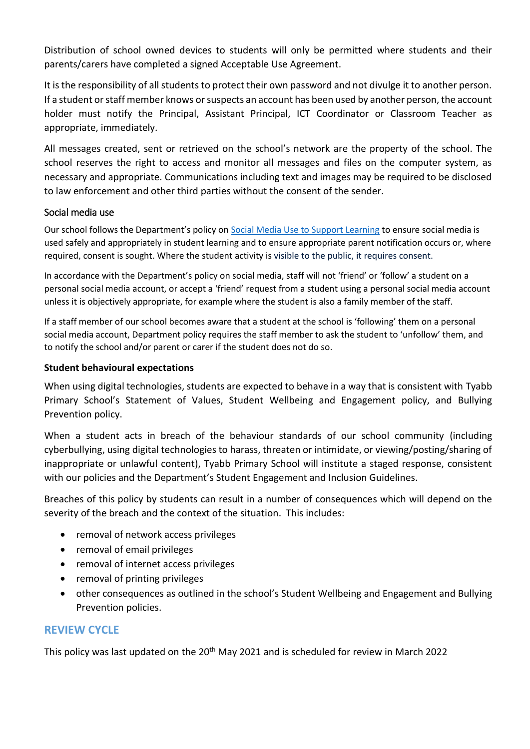Distribution of school owned devices to students will only be permitted where students and their parents/carers have completed a signed Acceptable Use Agreement.

It is the responsibility of all students to protect their own password and not divulge it to another person. If a student or staff member knows or suspects an account has been used by another person, the account holder must notify the Principal, Assistant Principal, ICT Coordinator or Classroom Teacher as appropriate, immediately.

All messages created, sent or retrieved on the school's network are the property of the school. The school reserves the right to access and monitor all messages and files on the computer system, as necessary and appropriate. Communications including text and images may be required to be disclosed to law enforcement and other third parties without the consent of the sender.

#### Social media use

Our school follows the Department's policy on [Social Media Use to Support Learning](https://www2.education.vic.gov.au/pal/social-media/policy) to ensure social media is used safely and appropriately in student learning and to ensure appropriate parent notification occurs or, where required, consent is sought. Where the student activity is visible to the public, it requires consent.

In accordance with the Department's policy on social media, staff will not 'friend' or 'follow' a student on a personal social media account, or accept a 'friend' request from a student using a personal social media account unless it is objectively appropriate, for example where the student is also a family member of the staff.

If a staff member of our school becomes aware that a student at the school is 'following' them on a personal social media account, Department policy requires the staff member to ask the student to 'unfollow' them, and to notify the school and/or parent or carer if the student does not do so.

#### **Student behavioural expectations**

When using digital technologies, students are expected to behave in a way that is consistent with Tyabb Primary School's Statement of Values, Student Wellbeing and Engagement policy, and Bullying Prevention policy.

When a student acts in breach of the behaviour standards of our school community (including cyberbullying, using digital technologies to harass, threaten or intimidate, or viewing/posting/sharing of inappropriate or unlawful content), Tyabb Primary School will institute a staged response, consistent with our policies and the Department's Student Engagement and Inclusion Guidelines.

Breaches of this policy by students can result in a number of consequences which will depend on the severity of the breach and the context of the situation. This includes:

- removal of network access privileges
- removal of email privileges
- removal of internet access privileges
- removal of printing privileges
- other consequences as outlined in the school's Student Wellbeing and Engagement and Bullying Prevention policies.

#### **REVIEW CYCLE**

This policy was last updated on the 20<sup>th</sup> May 2021 and is scheduled for review in March 2022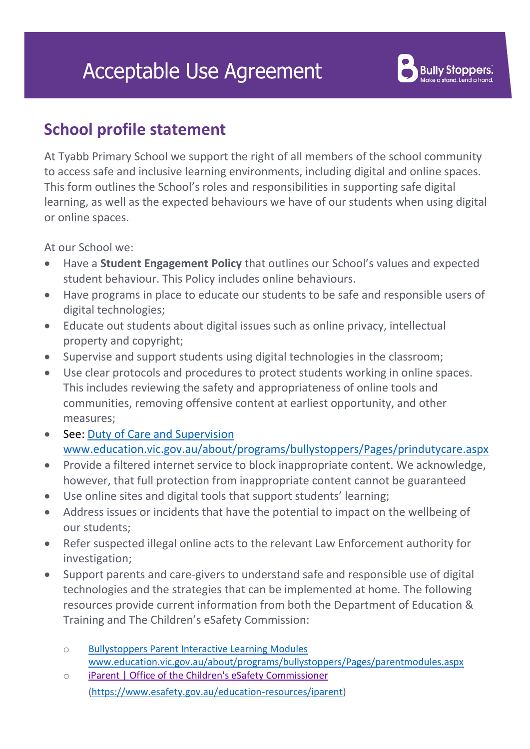# **Acceptable Use Agreement**



### **School profile statement**

At Tyabb Primary School we support the right of all members of the school community to access safe and inclusive learning environments, including digital and online spaces. This form outlines the School's roles and responsibilities in supporting safe digital learning, as well as the expected behaviours we have of our students when using digital or online spaces.

At our School we:

- Have a **Student Engagement Policy** that outlines our School's values and expected student behaviour. This Policy includes online behaviours.
- Have programs in place to educate our students to be safe and responsible users of digital technologies;
- Educate out students about digital issues such as online privacy, intellectual property and copyright;
- Supervise and support students using digital technologies in the classroom;
- Use clear protocols and procedures to protect students working in online spaces. This includes reviewing the safety and appropriateness of online tools and communities, removing offensive content at earliest opportunity, and other measures;
- See: [Duty of Care and Supervision](http://www.education.vic.gov.au/about/programs/bullystoppers/Pages/prindutycare.aspx)  [www.education.vic.gov.au/about/programs/bullystoppers/Pages/prindutycare.aspx](http://www.education.vic.gov.au/about/programs/bullystoppers/Pages/prindutycare.aspx)
- Provide a filtered internet service to block inappropriate content. We acknowledge, however, that full protection from inappropriate content cannot be guaranteed
- Use online sites and digital tools that support students' learning;
- Address issues or incidents that have the potential to impact on the wellbeing of our students;
- Refer suspected illegal online acts to the relevant Law Enforcement authority for investigation;
- Support parents and care-givers to understand safe and responsible use of digital technologies and the strategies that can be implemented at home. The following resources provide current information from both the [Department of Education &](http://www.education.vic.gov.au/about/programs/bullystoppers/Pages/parentmodules.aspx)  [Training](http://www.education.vic.gov.au/about/programs/bullystoppers/Pages/parentmodules.aspx) and The Children's eSafety Commission:
	- o [Bullystoppers Parent Interactive Learning Modules](http://www.education.vic.gov.au/about/programs/bullystoppers/Pages/parentmodules.aspx) [www.education.vic.gov.au/about/programs/bullystoppers/Pages/parentmodules.aspx](http://www.education.vic.gov.au/about/programs/bullystoppers/Pages/parentmodules.aspx)
	- o [iParent | Office of the Children's eSafety Commissioner](https://www.esafety.gov.au/education-resources/iparent) [\(https://www.esafety.gov.au/education-resources/iparent\)](https://www.esafety.gov.au/education-resources/iparent)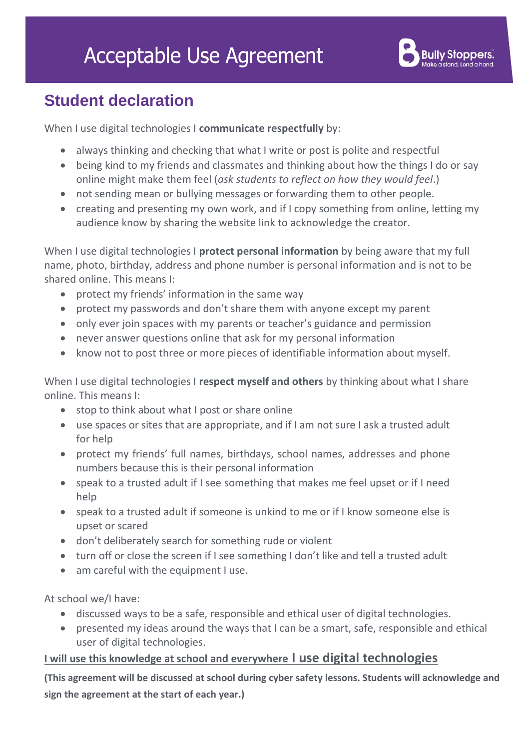

### **Student declaration**

When I use digital technologies I **communicate respectfully** by:

- always thinking and checking that what I write or post is polite and respectful
- being kind to my friends and classmates and thinking about how the things I do or say online might make them feel (*ask students to reflect on how they would feel*.)
- not sending mean or bullying messages or forwarding them to other people.
- creating and presenting my own work, and if I copy something from online, letting my audience know by sharing the website link to acknowledge the creator.

When I use digital technologies I **protect personal information** by being aware that my full name, photo, birthday, address and phone number is personal information and is not to be shared online. This means I:

- protect my friends' information in the same way
- protect my passwords and don't share them with anyone except my parent
- only ever join spaces with my parents or teacher's guidance and permission
- never answer questions online that ask for my personal information
- know not to post three or more pieces of identifiable information about myself.

When I use digital technologies I **respect myself and others** by thinking about what I share online. This means I:

- stop to think about what I post or share online
- use spaces or sites that are appropriate, and if I am not sure I ask a trusted adult for help
- protect my friends' full names, birthdays, school names, addresses and phone numbers because this is their personal information
- speak to a trusted adult if I see something that makes me feel upset or if I need help
- speak to a trusted adult if someone is unkind to me or if I know someone else is upset or scared
- don't deliberately search for something rude or violent
- turn off or close the screen if I see something I don't like and tell a trusted adult
- am careful with the equipment I use.

At school we/I have:

- discussed ways to be a safe, responsible and ethical user of digital technologies.
- presented my ideas around the ways that I can be a smart, safe, responsible and ethical user of digital technologies.

#### **I will use this knowledge at school and everywhere I use digital technologies**

**(This agreement will be discussed at school during cyber safety lessons. Students will acknowledge and sign the agreement at the start of each year.)**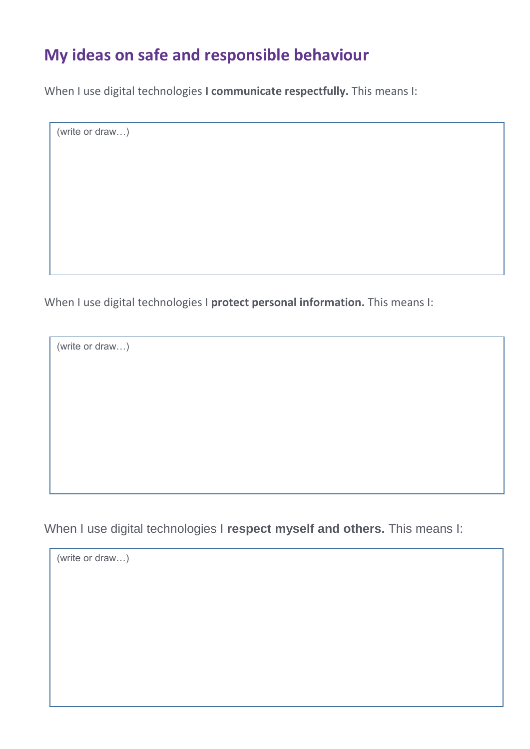### **My ideas on safe and responsible behaviour**

When I use digital technologies **I communicate respectfully.** This means I:

(write or draw…)

When I use digital technologies I **protect personal information.** This means I:

(write or draw…)

When I use digital technologies I **respect myself and others.** This means I:

(write or draw…)